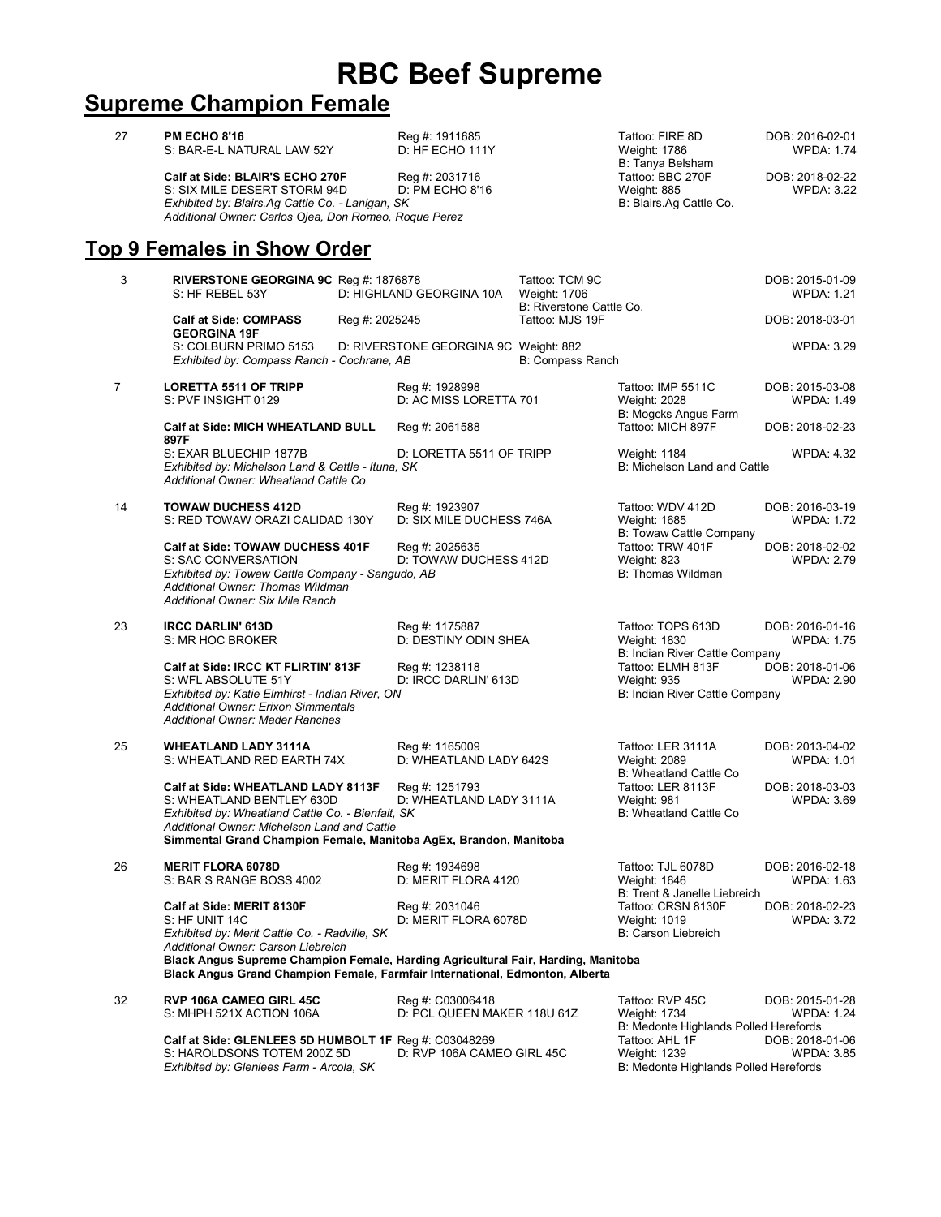## **RBC Beef Supreme**

## **Supreme Champion Female**

| 27             | <b>PM ECHO 8'16</b><br>S: BAR-E-L NATURAL LAW 52Y<br>Calf at Side: BLAIR'S ECHO 270F<br>S: SIX MILE DESERT STORM 94D<br>Exhibited by: Blairs.Ag Cattle Co. - Lanigan, SK<br>Additional Owner: Carlos Ojea, Don Romeo, Roque Perez                                                                       | Reg #: 1911685<br>D: HF ECHO 111Y<br>Reg #: 2031716<br>D: PM ECHO 8'16 |                                                                   | Tattoo: FIRE 8D<br>Weight: 1786<br>B: Tanya Belsham<br>Tattoo: BBC 270F<br>Weight: 885<br>B: Blairs.Ag Cattle Co. | DOB: 2016-02-01<br><b>WPDA: 1.74</b><br>DOB: 2018-02-22<br><b>WPDA: 3.22</b> |
|----------------|---------------------------------------------------------------------------------------------------------------------------------------------------------------------------------------------------------------------------------------------------------------------------------------------------------|------------------------------------------------------------------------|-------------------------------------------------------------------|-------------------------------------------------------------------------------------------------------------------|------------------------------------------------------------------------------|
|                | <b>Top 9 Females in Show Order</b>                                                                                                                                                                                                                                                                      |                                                                        |                                                                   |                                                                                                                   |                                                                              |
| 3              | <b>RIVERSTONE GEORGINA 9C</b> Reg #: 1876878<br>S: HF REBEL 53Y                                                                                                                                                                                                                                         | D: HIGHLAND GEORGINA 10A                                               | Tattoo: TCM 9C<br><b>Weight: 1706</b><br>B: Riverstone Cattle Co. |                                                                                                                   | DOB: 2015-01-09<br><b>WPDA: 1.21</b>                                         |
|                | <b>Calf at Side: COMPASS</b><br>Reg #: 2025245<br><b>GEORGINA 19F</b>                                                                                                                                                                                                                                   | Tattoo: MJS 19F                                                        |                                                                   |                                                                                                                   | DOB: 2018-03-01                                                              |
|                | S: COLBURN PRIMO 5153<br>Exhibited by: Compass Ranch - Cochrane, AB                                                                                                                                                                                                                                     | D: RIVERSTONE GEORGINA 9C Weight: 882                                  | B: Compass Ranch                                                  |                                                                                                                   | <b>WPDA: 3.29</b>                                                            |
| $\overline{7}$ | <b>LORETTA 5511 OF TRIPP</b><br>S: PVF INSIGHT 0129                                                                                                                                                                                                                                                     | Reg #: 1928998<br>D: AC MISS LORETTA 701                               |                                                                   | Tattoo: IMP 5511C<br>Weight: 2028<br>B: Mogcks Angus Farm                                                         | DOB: 2015-03-08<br><b>WPDA: 1.49</b>                                         |
|                | <b>Calf at Side: MICH WHEATLAND BULL</b><br>897F                                                                                                                                                                                                                                                        | Reg #: 2061588                                                         |                                                                   | Tattoo: MICH 897F                                                                                                 | DOB: 2018-02-23                                                              |
|                | S: EXAR BLUECHIP 1877B<br>Exhibited by: Michelson Land & Cattle - Ituna, SK<br>Additional Owner: Wheatland Cattle Co                                                                                                                                                                                    | D: LORETTA 5511 OF TRIPP                                               |                                                                   | Weight: 1184<br>B: Michelson Land and Cattle                                                                      | <b>WPDA: 4.32</b>                                                            |
| 14             | <b>TOWAW DUCHESS 412D</b><br>S: RED TOWAW ORAZI CALIDAD 130Y                                                                                                                                                                                                                                            | Reg #: 1923907<br>D: SIX MILE DUCHESS 746A                             |                                                                   | Tattoo: WDV 412D<br>Weight: 1685<br>B: Towaw Cattle Company                                                       | DOB: 2016-03-19<br><b>WPDA: 1.72</b>                                         |
|                | Calf at Side: TOWAW DUCHESS 401F<br>S: SAC CONVERSATION<br>Exhibited by: Towaw Cattle Company - Sangudo, AB<br>Additional Owner: Thomas Wildman<br>Additional Owner: Six Mile Ranch                                                                                                                     | Reg #: 2025635<br>D: TOWAW DUCHESS 412D                                |                                                                   | Tattoo: TRW 401F<br>Weight: 823<br>B: Thomas Wildman                                                              | DOB: 2018-02-02<br><b>WPDA: 2.79</b>                                         |
| 23             | <b>IRCC DARLIN' 613D</b><br>S: MR HOC BROKER                                                                                                                                                                                                                                                            | Reg #: 1175887<br>D: DESTINY ODIN SHEA                                 |                                                                   | Tattoo: TOPS 613D<br>Weight: 1830<br>B: Indian River Cattle Company                                               | DOB: 2016-01-16<br><b>WPDA: 1.75</b>                                         |
|                | Calf at Side: IRCC KT FLIRTIN' 813F<br>S: WFL ABSOLUTE 51Y<br>Exhibited by: Katie Elmhirst - Indian River, ON<br><b>Additional Owner: Erixon Simmentals</b><br><b>Additional Owner: Mader Ranches</b>                                                                                                   | Reg #: 1238118<br>D: IRCC DARLIN' 613D                                 |                                                                   | Tattoo: ELMH 813F<br><b>Weight: 935</b><br>B: Indian River Cattle Company                                         | DOB: 2018-01-06<br><b>WPDA: 2.90</b>                                         |
| 25             | <b>WHEATLAND LADY 3111A</b><br>S: WHEATLAND RED EARTH 74X                                                                                                                                                                                                                                               | Reg #: 1165009<br>D: WHEATLAND LADY 642S                               |                                                                   | Tattoo: LER 3111A<br>Weight: 2089<br>B: Wheatland Cattle Co.                                                      | DOB: 2013-04-02<br><b>WPDA: 1.01</b>                                         |
|                | Calf at Side: WHEATLAND LADY 8113F<br>S: WHEATLAND BENTLEY 630D<br>Exhibited by: Wheatland Cattle Co. - Bienfait, SK<br>Additional Owner: Michelson Land and Cattle<br>Simmental Grand Champion Female, Manitoba AgEx, Brandon, Manitoba                                                                | Reg #: 1251793<br>D: WHEATLAND LADY 3111A                              |                                                                   | Tattoo: LER 8113F<br>Weight: 981<br>B: Wheatland Cattle Co                                                        | DOB: 2018-03-03<br><b>WPDA: 3.69</b>                                         |
| 26             | <b>MERIT FLORA 6078D</b><br>S: BAR S RANGE BOSS 4002                                                                                                                                                                                                                                                    | Reg #: 1934698<br>D: MERIT FLORA 4120                                  |                                                                   | Tattoo: TJL 6078D<br>Weight: 1646<br>B: Trent & Janelle Liebreich                                                 | DOB: 2016-02-18<br><b>WPDA: 1.63</b>                                         |
|                | Calf at Side: MERIT 8130F<br>S: HF UNIT 14C<br>Exhibited by: Merit Cattle Co. - Radville, SK<br>Additional Owner: Carson Liebreich<br>Black Angus Supreme Champion Female, Harding Agricultural Fair, Harding, Manitoba<br>Black Angus Grand Champion Female, Farmfair International, Edmonton, Alberta | Reg #: 2031046<br>D: MERIT FLORA 6078D                                 |                                                                   | Tattoo: CRSN 8130F<br>Weight: 1019<br>B: Carson Liebreich                                                         | DOB: 2018-02-23<br>WPDA: 3.72                                                |
| 32             | <b>RVP 106A CAMEO GIRL 45C</b><br>S: MHPH 521X ACTION 106A                                                                                                                                                                                                                                              | Reg #: C03006418<br>D: PCL QUEEN MAKER 118U 61Z                        |                                                                   | Tattoo: RVP 45C<br>Weight: 1734<br>B: Medonte Highlands Polled Herefords                                          | DOB: 2015-01-28<br><b>WPDA: 1.24</b>                                         |
|                | Calf at Side: GLENLEES 5D HUMBOLT 1F Reg #: C03048269<br>S: HAROLDSONS TOTEM 200Z 5D<br>Exhibited by: Glenlees Farm - Arcola, SK                                                                                                                                                                        | D: RVP 106A CAMEO GIRL 45C                                             |                                                                   | Tattoo: AHL 1F<br>Weight: 1239<br>B: Medonte Highlands Polled Herefords                                           | DOB: 2018-01-06<br><b>WPDA: 3.85</b>                                         |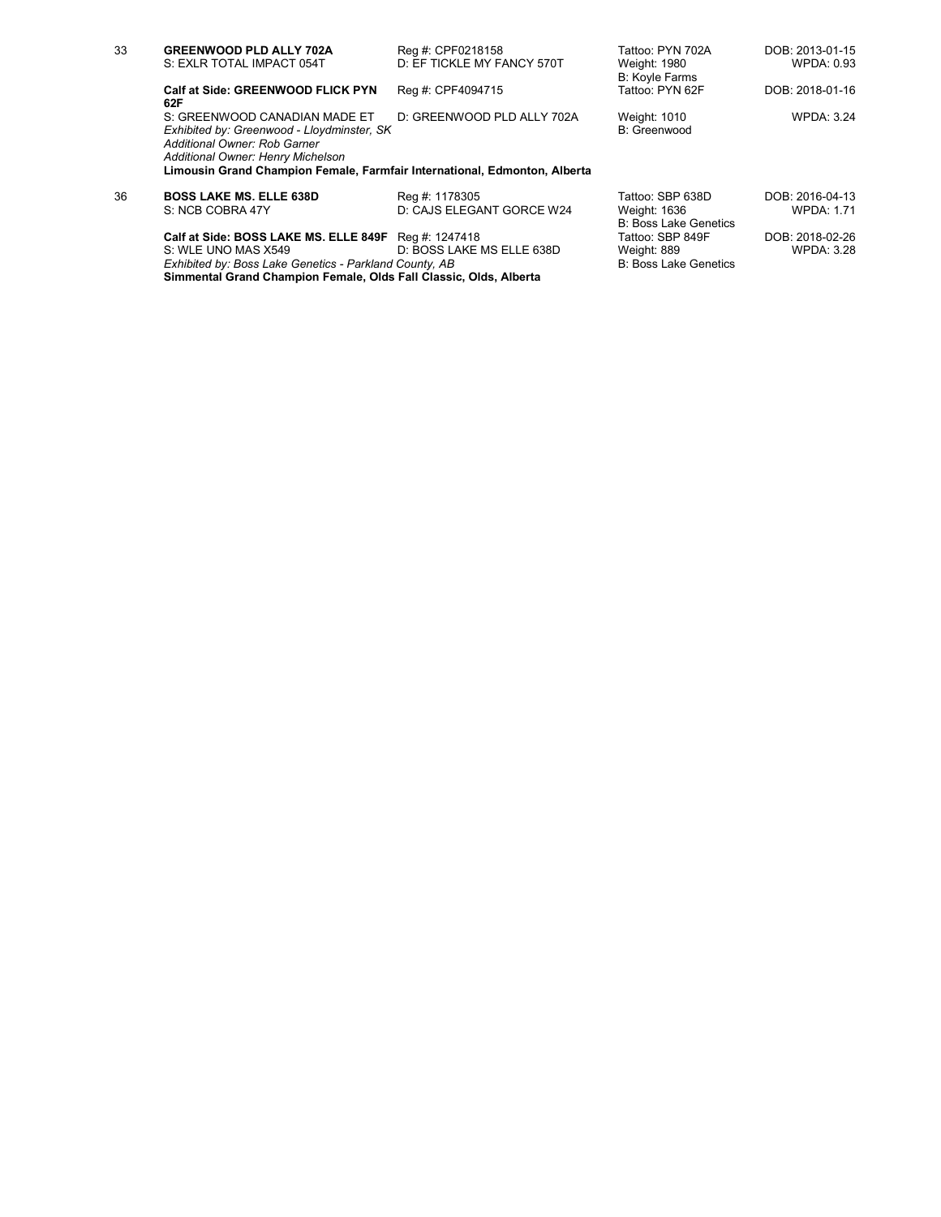| 33 | <b>GREENWOOD PLD ALLY 702A</b><br>S: EXLR TOTAL IMPACT 054T                                                                                                                                                                   | Reg #: CPF0218158<br>D: EF TICKLE MY FANCY 570T | Tattoo: PYN 702A<br>Weight: 1980<br><b>B: Koyle Farms</b> | DOB: 2013-01-15<br>WPDA: 0.93 |
|----|-------------------------------------------------------------------------------------------------------------------------------------------------------------------------------------------------------------------------------|-------------------------------------------------|-----------------------------------------------------------|-------------------------------|
|    | Calf at Side: GREENWOOD FLICK PYN<br>62F                                                                                                                                                                                      | Reg #: CPF4094715                               | Tattoo: PYN 62F                                           | DOB: 2018-01-16               |
|    | S: GREENWOOD CANADIAN MADE ET<br>Exhibited by: Greenwood - Lloydminster, SK<br>Additional Owner: Rob Garner<br>Additional Owner: Henry Michelson<br>Limousin Grand Champion Female, Farmfair International, Edmonton, Alberta | D: GREENWOOD PLD ALLY 702A                      | Weight: 1010<br>B: Greenwood                              | <b>WPDA: 3.24</b>             |
| 36 | <b>BOSS LAKE MS. ELLE 638D</b>                                                                                                                                                                                                | Reg #: 1178305                                  | Tattoo: SBP 638D                                          | DOB: 2016-04-13               |
|    | S: NCB COBRA 47Y                                                                                                                                                                                                              | D: CAJS ELEGANT GORCE W24                       | Weight: 1636<br><b>B: Boss Lake Genetics</b>              | <b>WPDA: 1.71</b>             |
|    | Calf at Side: BOSS LAKE MS. ELLE 849F Req #: 1247418                                                                                                                                                                          |                                                 | Tattoo: SBP 849F                                          | DOB: 2018-02-26               |
|    | S: WLE UNO MAS X549                                                                                                                                                                                                           | D: BOSS LAKE MS ELLE 638D                       | Weight: 889                                               | <b>WPDA: 3.28</b>             |
|    | Exhibited by: Boss Lake Genetics - Parkland County, AB                                                                                                                                                                        |                                                 | <b>B: Boss Lake Genetics</b>                              |                               |

**Simmental Grand Champion Female, Olds Fall Classic, Olds, Alberta**